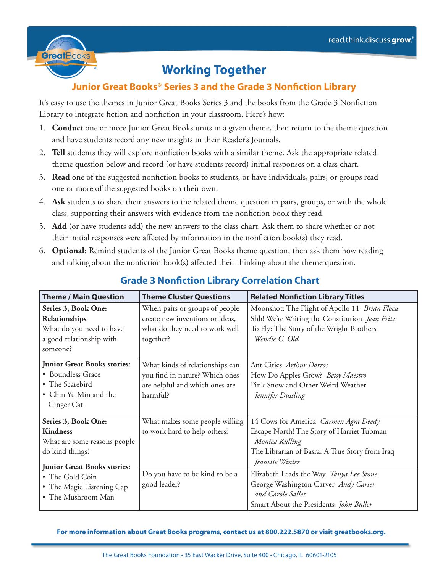

## **Working Together**

## **Junior Great Books® Series 3 and the Grade 3 Nonfiction Library**

It's easy to use the themes in Junior Great Books Series 3 and the books from the Grade 3 Nonfiction Library to integrate fiction and nonfiction in your classroom. Here's how:

- 1. **Conduct** one or more Junior Great Books units in a given theme, then return to the theme question and have students record any new insights in their Reader's Journals.
- 2. **Tell** students they will explore nonfiction books with a similar theme. Ask the appropriate related theme question below and record (or have students record) initial responses on a class chart.
- 3. **Read** one of the suggested nonfiction books to students, or have individuals, pairs, or groups read one or more of the suggested books on their own.
- 4. **Ask** students to share their answers to the related theme question in pairs, groups, or with the whole class, supporting their answers with evidence from the nonfiction book they read.
- 5. **Add** (or have students add) the new answers to the class chart. Ask them to share whether or not their initial responses were affected by information in the nonfiction book(s) they read.
- 6. **Optional**: Remind students of the Junior Great Books theme question, then ask them how reading and talking about the nonfiction book(s) affected their thinking about the theme question.

| <b>Theme / Main Question</b>                                                                                                    | <b>Theme Cluster Questions</b>                                                                                   | <b>Related Nonfiction Library Titles</b>                                                                                                                                  |
|---------------------------------------------------------------------------------------------------------------------------------|------------------------------------------------------------------------------------------------------------------|---------------------------------------------------------------------------------------------------------------------------------------------------------------------------|
| Series 3, Book One:<br>Relationships<br>What do you need to have<br>a good relationship with<br>someone?                        | When pairs or groups of people<br>create new inventions or ideas,<br>what do they need to work well<br>together? | Moonshot: The Flight of Apollo 11 Brian Floca<br>Shh! We're Writing the Constitution Jean Fritz<br>To Fly: The Story of the Wright Brothers<br>Wendie C. Old              |
| <b>Junior Great Books stories:</b><br>• Boundless Grace<br>• The Scarebird<br>• Chin Yu Min and the<br>Ginger Cat               | What kinds of relationships can<br>you find in nature? Which ones<br>are helpful and which ones are<br>harmful?  | Ant Cities Arthur Dorros<br>How Do Apples Grow? Betsy Maestro<br>Pink Snow and Other Weird Weather<br>Jennifer Dussling                                                   |
| Series 3, Book One:<br><b>Kindness</b><br>What are some reasons people<br>do kind things?<br><b>Junior Great Books stories:</b> | What makes some people willing<br>to work hard to help others?                                                   | 14 Cows for America Carmen Agra Deedy<br>Escape North! The Story of Harriet Tubman<br>Monica Kulling<br>The Librarian of Basra: A True Story from Iraq<br>Jeanette Winter |
| • The Gold Coin<br>• The Magic Listening Cap<br>• The Mushroom Man                                                              | Do you have to be kind to be a<br>good leader?                                                                   | Elizabeth Leads the Way Tanya Lee Stone<br>George Washington Carver Andy Carter<br>and Carole Saller<br>Smart About the Presidents John Buller                            |

## **Grade 3 Nonfiction Library Correlation Chart**

**For more information about Great Books programs, contact us at 800.222.5870 or visit greatbooks.org.**